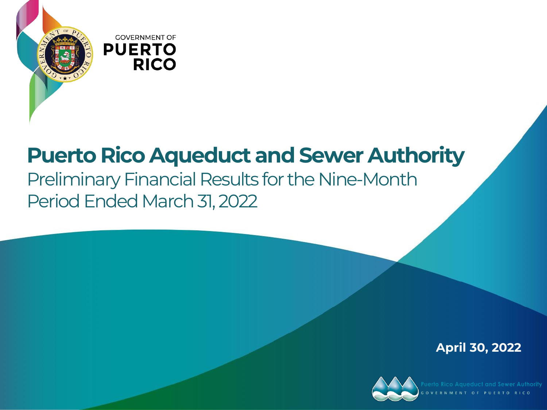

# **Puerto Rico Aqueduct and Sewer Authority**

### Preliminary Financial Results for the Nine-Month Period Ended March 31, 2022

**April 30, 2022**

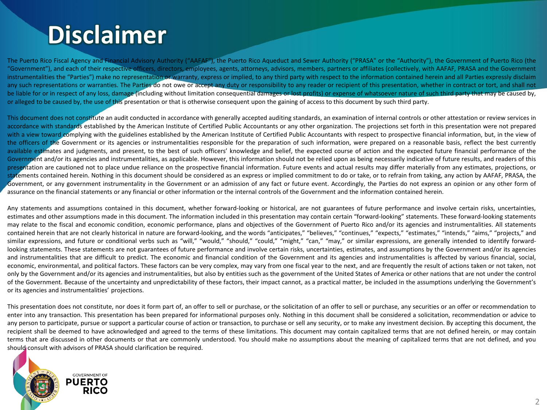# **Disclaimer**

The Puerto Rico Fiscal Agency and Financial Advisory Authority ("AAFAF"), the Puerto Rico Aqueduct and Sewer Authority ("PRASA" or the "Authority"), the Government of Puerto Rico (the "Government"), and each of their respective officers, directors, employees, agents, attorneys, advisors, members, partners or affiliates (collectively, with AAFAF, PRASA and the Government instrumentalities the "Parties") make no representation or warranty, express or implied, to any third party with respect to the information contained herein and all Parties expressly disclaim any such representations or warranties. The Parties do not owe or accept any duty or responsibility to any reader or recipient of this presentation, whether in contract or tort, and shall not be liable for or in respect of any loss, damage (including without limitation consequential damages or lost profits) or expense of whatsoever nature of such third party that may be caused by, or alleged to be caused by, the use of this presentation or that is otherwise consequent upon the gaining of access to this document by such third party.

This document does not constitute an audit conducted in accordance with generally accepted auditing standards, an examination of internal controls or other attestation or review services in accordance with standards established by the American Institute of Certified Public Accountants or any other organization. The projections set forth in this presentation were not prepared with a view toward complying with the guidelines established by the American Institute of Certified Public Accountants with respect to prospective financial information, but, in the view of the officers of the Government or its agencies or instrumentalities responsible for the preparation of such information, were prepared on a reasonable basis, reflect the best currently available estimates and judgments, and present, to the best of such officers' knowledge and belief, the expected course of action and the expected future financial performance of the Government and/or its agencies and instrumentalities, as applicable. However, this information should not be relied upon as being necessarily indicative of future results, and readers of this presentation are cautioned not to place undue reliance on the prospective financial information. Future events and actual results may differ materially from any estimates, projections, or statements contained herein. Nothing in this document should be considered as an express or implied commitment to do or take, or to refrain from taking, any action by AAFAF, PRASA, the Government, or any government instrumentality in the Government or an admission of any fact or future event. Accordingly, the Parties do not express an opinion or any other form of assurance on the financial statements or any financial or other information or the internal controls of the Government and the information contained herein.

Any statements and assumptions contained in this document, whether forward-looking or historical, are not guarantees of future performance and involve certain risks, uncertainties, estimates and other assumptions made in this document. The information included in this presentation may contain certain "forward-looking" statements. These forward-looking statements may relate to the fiscal and economic condition, economic performance, plans and objectives of the Government of Puerto Rico and/or its agencies and instrumentalities. All statements contained herein that are not clearly historical in nature are forward-looking, and the words "anticipates," "believes," "continues," "expects," "estimates," "intends," "aims," "projects," and similar expressions, and future or conditional verbs such as "will," "would," "should," "could," "might," "can," "may," or similar expressions, are generally intended to identify forwardlooking statements. These statements are not guarantees of future performance and involve certain risks, uncertainties, estimates, and assumptions by the Government and/or its agencies and instrumentalities that are difficult to predict. The economic and financial condition of the Government and its agencies and instrumentalities is affected by various financial, social, economic, environmental, and political factors. These factors can be very complex, may vary from one fiscal year to the next, and are frequently the result of actions taken or not taken, not only by the Government and/or its agencies and instrumentalities, but also by entities such as the government of the United States of America or other nations that are not under the control of the Government. Because of the uncertainty and unpredictability of these factors, their impact cannot, as a practical matter, be included in the assumptions underlying the Government's or its agencies and instrumentalities' projections.

This presentation does not constitute, nor does it form part of, an offer to sell or purchase, or the solicitation of an offer to sell or purchase, any securities or an offer or recommendation to enter into any transaction. This presentation has been prepared for informational purposes only. Nothing in this document shall be considered a solicitation, recommendation or advice to any person to participate, pursue or support a particular course of action or transaction, to purchase or sell any security, or to make any investment decision. By accepting this document, the recipient shall be deemed to have acknowledged and agreed to the terms of these limitations. This document may contain capitalized terms that are not defined herein, or may contain terms that are discussed in other documents or that are commonly understood. You should make no assumptions about the meaning of capitalized terms that are not defined, and you should consult with advisors of PRASA should clarification be required.

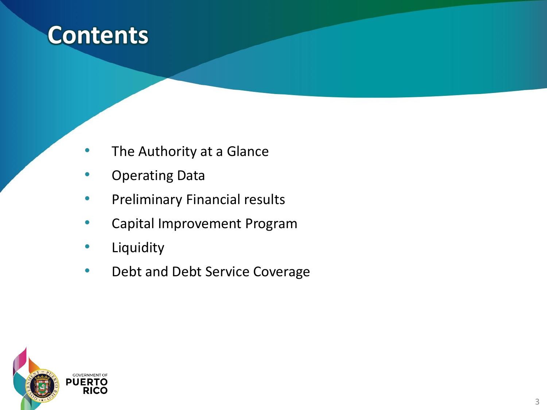

- The Authority at a Glance
- Operating Data
- Preliminary Financial results
- Capital Improvement Program
- Liquidity
- Debt and Debt Service Coverage

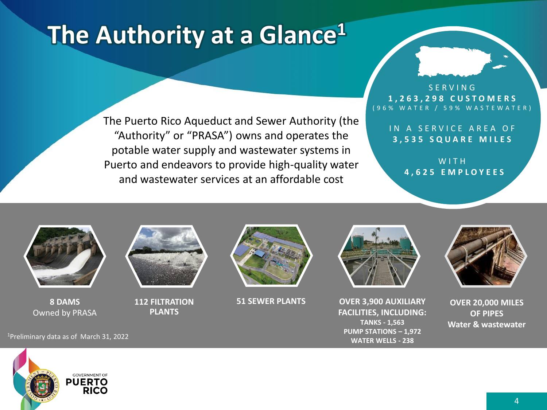# **The Authority at a Glance<sup>1</sup>**

The Puerto Rico Aqueduct and Sewer Authority (the "Authority" or "PRASA") owns and operates the potable water supply and wastewater systems in Puerto and endeavors to provide high-quality water and wastewater services at an affordable cost

#### S E R V I N G **1 , 2 6 3 , 2 9 8 C U S T O M E R S** ( 9 6 % W A T E R / 5 9 % W A S T E W A T E R )

IN A SERVICE AREA OF **3 , 5 3 5 S Q U A R E M I L E S**

> W I T H **4 , 6 2 5 E M P L O Y E E S**



**8 DAMS**  Owned by PRASA



**112 FILTRATION PLANTS**





**51 SEWER PLANTS OVER 3,900 AUXILIARY FACILITIES, INCLUDING: TANKS - 1,563 PUMP STATIONS – 1,972 WATER WELLS - 238**



**OVER 20,000 MILES OF PIPES Water & wastewater**

<sup>1</sup>Preliminary data as of March 31, 2022

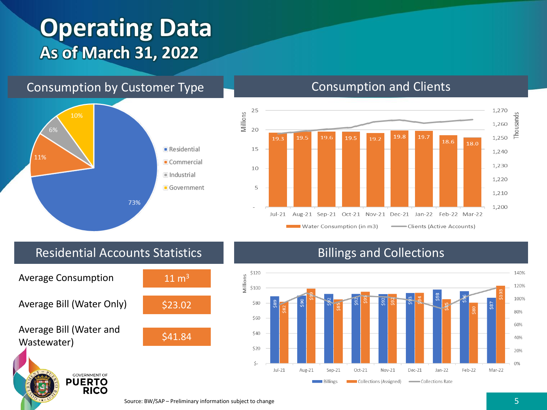## **Operating Data As of March 31, 2022**

#### Consumption by Customer Type Consumption and Clients





#### Residential Accounts Statistics



#### Billings and Collections

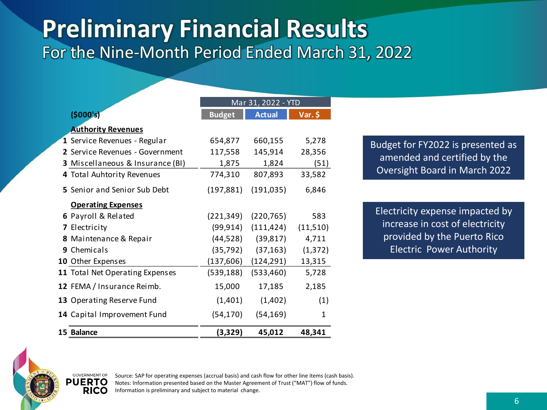### **Preliminary Financial Results** For the Nine-Month Period Ended March 31, 2022

|                                  | Mar 31, 2022 - YTD |                         |           |
|----------------------------------|--------------------|-------------------------|-----------|
| (5000's)                         | <b>Budget</b>      | <b>Actual</b>           | $Var.$ \$ |
| <b>Authority Revenues</b>        |                    |                         |           |
| 1 Service Revenues - Regular     | 654,877            | 660,155                 | 5,278     |
| 2 Service Revenues - Government  | 117,558            | 145,914                 | 28,356    |
| 3 Miscellaneous & Insurance (BI) | 1,875              | 1,824                   | (51)      |
| 4 Total Auhtority Revenues       | 774,310            | 807,893                 | 33,582    |
| 5 Senior and Senior Sub Debt     | (197, 881)         | (191, 035)              | 6,846     |
| <b>Operating Expenses</b>        |                    |                         |           |
| 6 Payroll & Related              | (221, 349)         | (220,765)               | 583       |
| 7 Electricity                    |                    | (99,914) (111,424)      | (11,510)  |
| 8 Maintenance & Repair           | (44, 528)          | (39, 817)               | 4,711     |
| 9 Chemicals                      | (35, 792)          | (37, 163)               | (1, 372)  |
| 10 Other Expenses                |                    | $(137,606)$ $(124,291)$ | 13,315    |
| 11 Total Net Operating Expenses  | (539, 188)         | (533, 460)              | 5,728     |
| 12 FEMA / Insurance Reimb.       | 15,000             | 17,185                  | 2,185     |
| 13 Operating Reserve Fund        | (1,401)            | (1,402)                 | (1)       |
| 14 Capital Improvement Fund      | (54,170)           | (54, 169)               | 1         |
| 15 Balance                       | (3,329)            | 45,012                  | 48,341    |

Budget for FY2022 is presented as amended and certified by the Oversight Board in March 2022

Electricity expense impacted by increase in cost of electricity provided by the Puerto Rico Electric Power Authority



Source: SAP for operating expenses (accrual basis) and cash flow for other line items (cash basis). Notes: Information presented based on the Master Agreement of Trust ("MAT") flow of funds. Information is preliminary and subject to material change.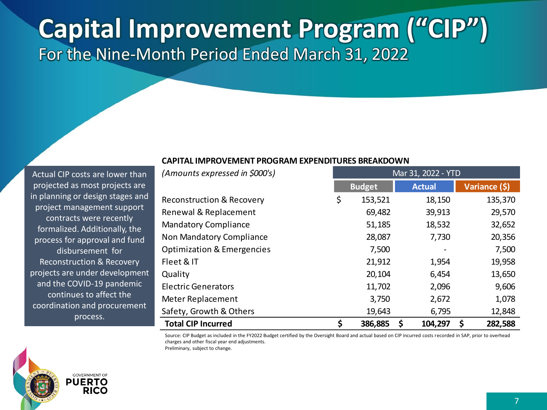# **Capital Improvement Program ("CIP")** For the Nine-Month Period Ended March 31, 2022

#### **CAPITAL IMPROVEMENT PROGRAM EXPENDITURES BREAKDOWN**

*(Amounts expressed in \$000's)* Mar 31, 2022 - YTD

Actual CIP costs are lower than projected as most projects are in planning or design stages and project management support contracts were recently formalized. Additionally, the process for approval and fund disbursement for Reconstruction & Recovery projects are under development and the COVID-19 pandemic continues to affect the coordination and procurement process.

|                                       | <b>Budget</b> | <b>Actual</b> | Variance (\$) |
|---------------------------------------|---------------|---------------|---------------|
| <b>Reconstruction &amp; Recovery</b>  | \$<br>153,521 | 18,150        | 135,370       |
| Renewal & Replacement                 | 69,482        | 39,913        | 29,570        |
| <b>Mandatory Compliance</b>           | 51,185        | 18,532        | 32,652        |
| Non Mandatory Compliance              | 28,087        | 7,730         | 20,356        |
| <b>Optimization &amp; Emergencies</b> | 7,500         |               | 7,500         |
| Fleet & IT                            | 21,912        | 1,954         | 19,958        |
| Quality                               | 20,104        | 6,454         | 13,650        |
| <b>Electric Generators</b>            | 11,702        | 2,096         | 9,606         |
| Meter Replacement                     | 3,750         | 2,672         | 1,078         |
| Safety, Growth & Others               | 19,643        | 6,795         | 12,848        |
| <b>Total CIP Incurred</b>             | \$<br>386,885 | \$<br>104,297 | 282,588<br>S  |

Source: CIP Budget as included in the FY2022 Budget certified by the Oversight Board and actual based on CIP incurred costs recorded in SAP, prior to overhead charges and other fiscal year end adjustments.



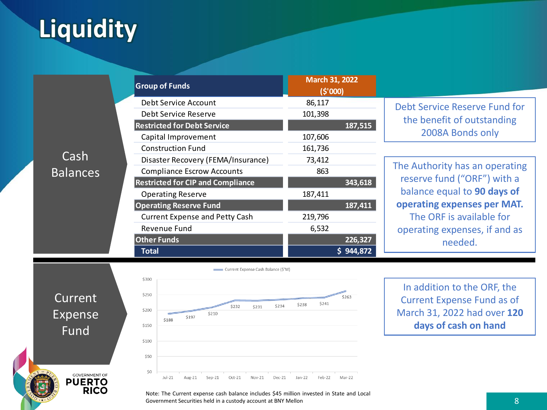# **Liquidity**

|                 | <b>Group of Funds</b>                                                                                                                                                                                                                                                                                                                                                                                    | March 31, 2022<br>(5'000)               |                                                                                 |
|-----------------|----------------------------------------------------------------------------------------------------------------------------------------------------------------------------------------------------------------------------------------------------------------------------------------------------------------------------------------------------------------------------------------------------------|-----------------------------------------|---------------------------------------------------------------------------------|
|                 | Debt Service Account<br>Debt Service Reserve<br><b>Restricted for Debt Service</b><br>Capital Improvement<br><b>Construction Fund</b><br>Disaster Recovery (FEMA/Insurance)<br><b>Compliance Escrow Accounts</b><br><b>Restricted for CIP and Compliance</b><br><b>Operating Reserve</b><br><b>Operating Reserve Fund</b><br><b>Current Expense and Petty Cash</b><br>Revenue Fund<br><b>Other Funds</b> | 86,117<br>101,398<br>187,515<br>107,606 | Debt Service Reserve Fund for<br>the benefit of outstanding<br>2008A Bonds only |
| Cash            |                                                                                                                                                                                                                                                                                                                                                                                                          | 161,736                                 |                                                                                 |
| <b>Balances</b> |                                                                                                                                                                                                                                                                                                                                                                                                          | 73,412<br>863                           | The Authority has an operating<br>reserve fund ("ORF") with a                   |
|                 |                                                                                                                                                                                                                                                                                                                                                                                                          | 343,618<br>187,411                      | balance equal to 90 days of                                                     |
|                 |                                                                                                                                                                                                                                                                                                                                                                                                          | 187,411<br>219,796                      | operating expenses per MAT.<br>The ORF is available for                         |
|                 |                                                                                                                                                                                                                                                                                                                                                                                                          | 6,532<br>226,327<br>\$944,872           | operating expenses, if and as<br>needed.                                        |
|                 | <b>Total</b>                                                                                                                                                                                                                                                                                                                                                                                             |                                         |                                                                                 |

Current Expense Fund

**GOVERNMENT OF** 

**PUERTO**<br>RICO



In addition to the ORF, the Current Expense Fund as of March 31, 2022 had over **120 days of cash on hand**

Note: The Current expense cash balance includes \$45 million invested in State and Local Government Securities held in a custody account at BNY Mellon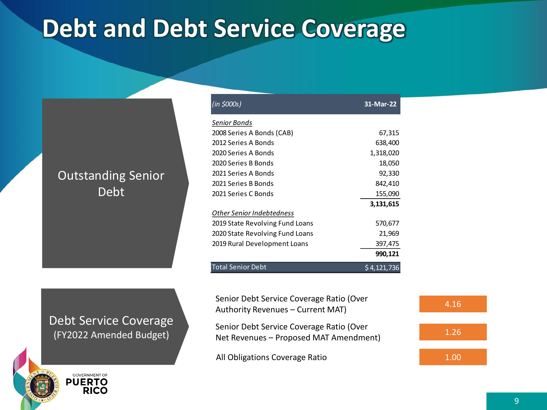# **Debt and Debt Service Coverage**

### Outstanding Senior Debt

| <b>Debt Service Coverage</b> |  |
|------------------------------|--|
| (FY2022 Amended Budget)      |  |

**GOVERNMENT OF PUERTO RICO** 

| (in \$000s)                     | 31-Mar-22     |
|---------------------------------|---------------|
| Senior Bonds                    |               |
| 2008 Series A Bonds (CAB)       | 67,315        |
| 2012 Series A Bonds             | 638,400       |
| 2020 Series A Bonds             | 1,318,020     |
| 2020 Series B Bonds             | 18,050        |
| 2021 Series A Bonds             | 92,330        |
| 2021 Series B Bonds             | 842,410       |
| 2021 Series C Bonds             | 155,090       |
|                                 | 3,131,615     |
| Other Senior Indebtedness       |               |
| 2019 State Revolving Fund Loans | 570,677       |
| 2020 State Revolving Fund Loans | 21,969        |
| 2019 Rural Development Loans    | 397,475       |
|                                 | 990,121       |
| Total Senior Debt               | $$4,12$ 1,736 |

Senior Debt Service Coverage Ratio (Over Senior Debt Service Coverage Natio (Over<br>Authority Revenues – Current MAT) 4.16

Senior Debt Service Coverage Ratio (Over Net Revenues – Proposed MAT Amendment)

All Obligations Coverage Ratio